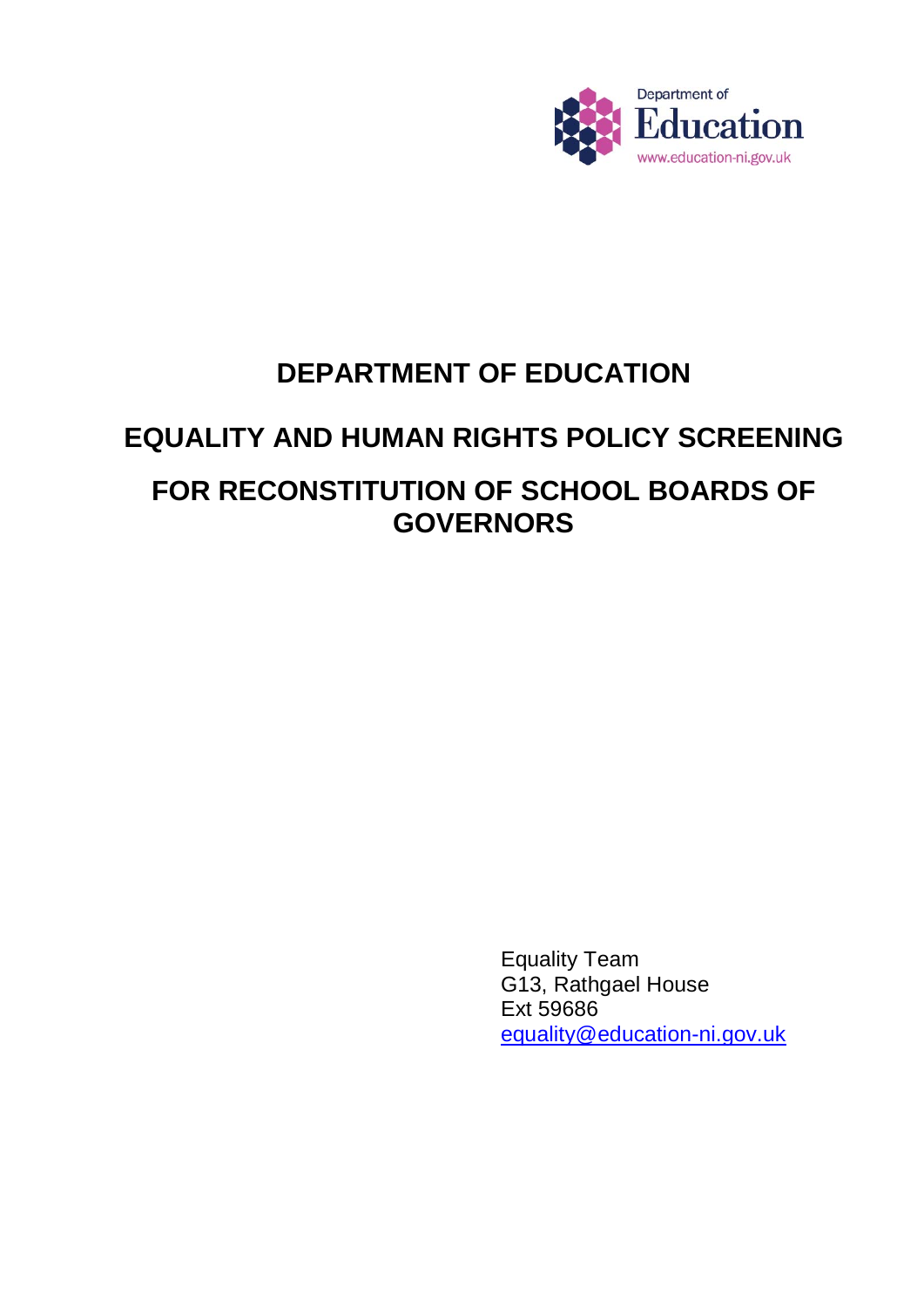

# **DEPARTMENT OF EDUCATION**

# **EQUALITY AND HUMAN RIGHTS POLICY SCREENING**

# **FOR RECONSTITUTION OF SCHOOL BOARDS OF GOVERNORS**

Equality Team G13, Rathgael House Ext 59686 [equality@education-ni.gov.uk](mailto:equality@education-ni.gov.uk)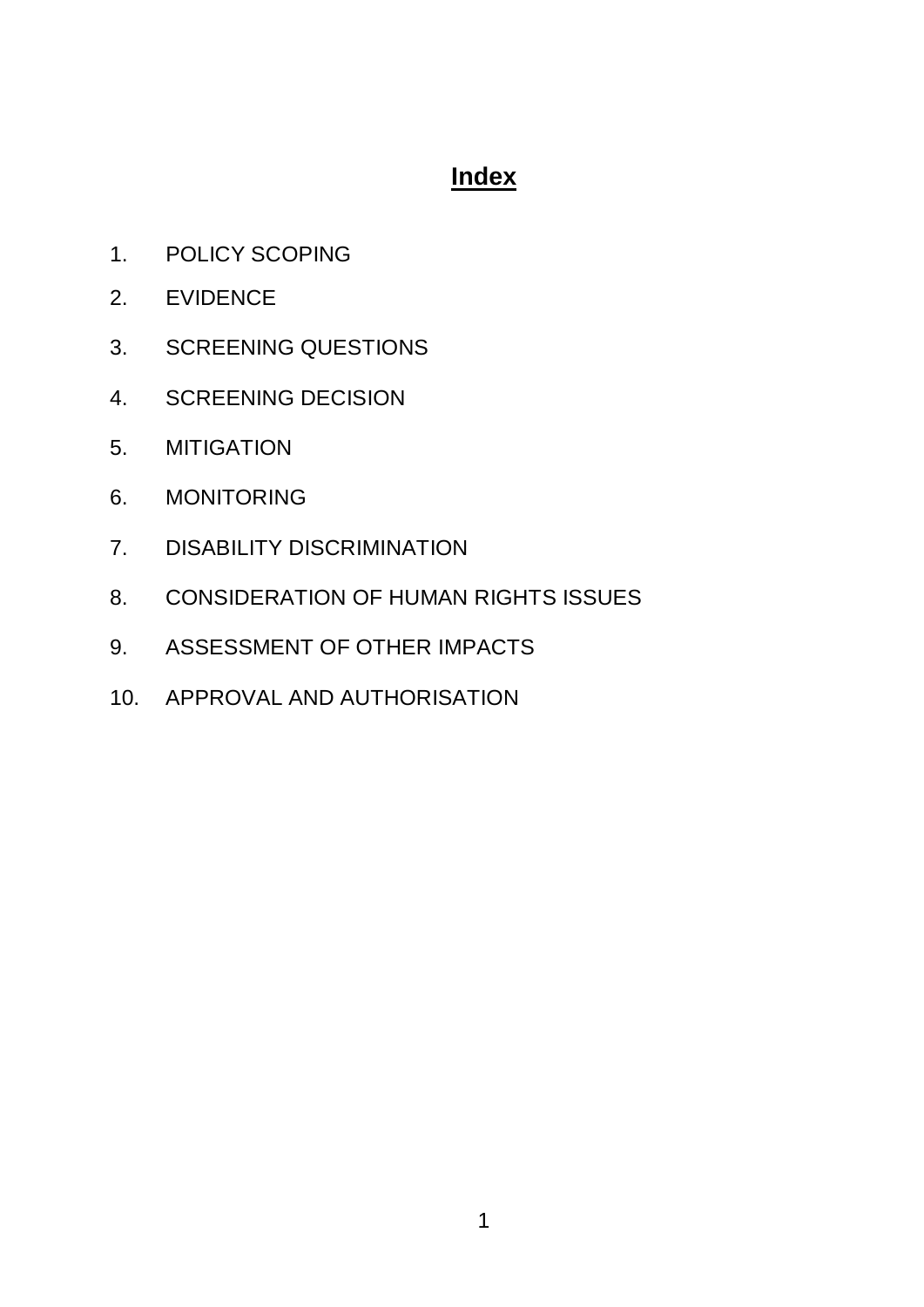## **Index**

- 1. POLICY SCOPING
- 2. EVIDENCE
- 3. SCREENING QUESTIONS
- 4. SCREENING DECISION
- 5. MITIGATION
- 6. MONITORING
- 7. DISABILITY DISCRIMINATION
- 8. CONSIDERATION OF HUMAN RIGHTS ISSUES
- 9. ASSESSMENT OF OTHER IMPACTS
- 10. APPROVAL AND AUTHORISATION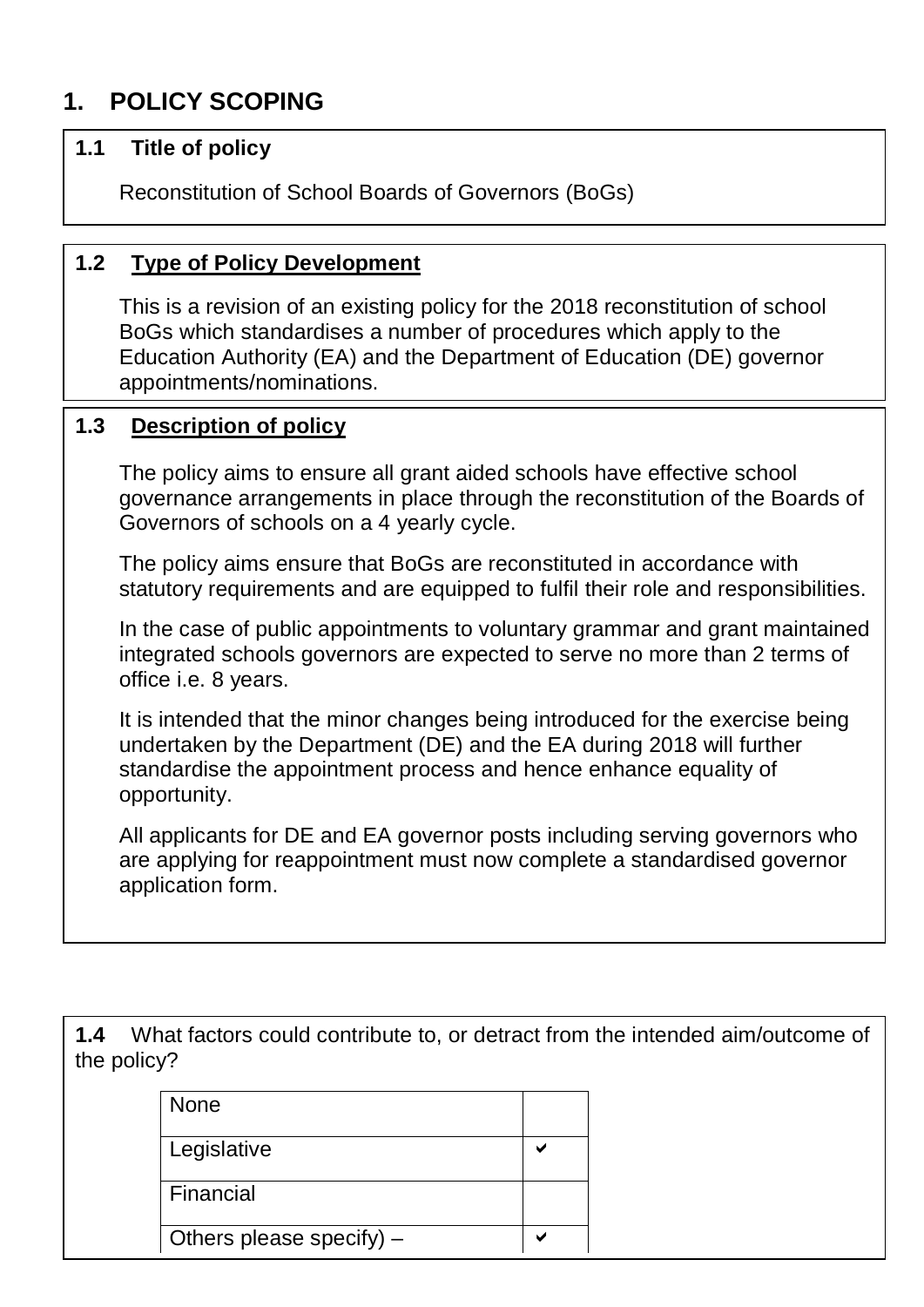# **1. POLICY SCOPING**

#### **1.1 Title of policy**

Reconstitution of School Boards of Governors (BoGs)

### **1.2 Type of Policy Development**

This is a revision of an existing policy for the 2018 reconstitution of school BoGs which standardises a number of procedures which apply to the Education Authority (EA) and the Department of Education (DE) governor appointments/nominations.

#### **1.3 Description of policy**

The policy aims to ensure all grant aided schools have effective school governance arrangements in place through the reconstitution of the Boards of Governors of schools on a 4 yearly cycle.

The policy aims ensure that BoGs are reconstituted in accordance with statutory requirements and are equipped to fulfil their role and responsibilities.

In the case of public appointments to voluntary grammar and grant maintained integrated schools governors are expected to serve no more than 2 terms of office i.e. 8 years.

It is intended that the minor changes being introduced for the exercise being undertaken by the Department (DE) and the EA during 2018 will further standardise the appointment process and hence enhance equality of opportunity.

All applicants for DE and EA governor posts including serving governors who are applying for reappointment must now complete a standardised governor application form.

**1.4** What factors could contribute to, or detract from the intended aim/outcome of the policy?

| <b>None</b>                |  |
|----------------------------|--|
| Legislative                |  |
| Financial                  |  |
| Others please specify) $-$ |  |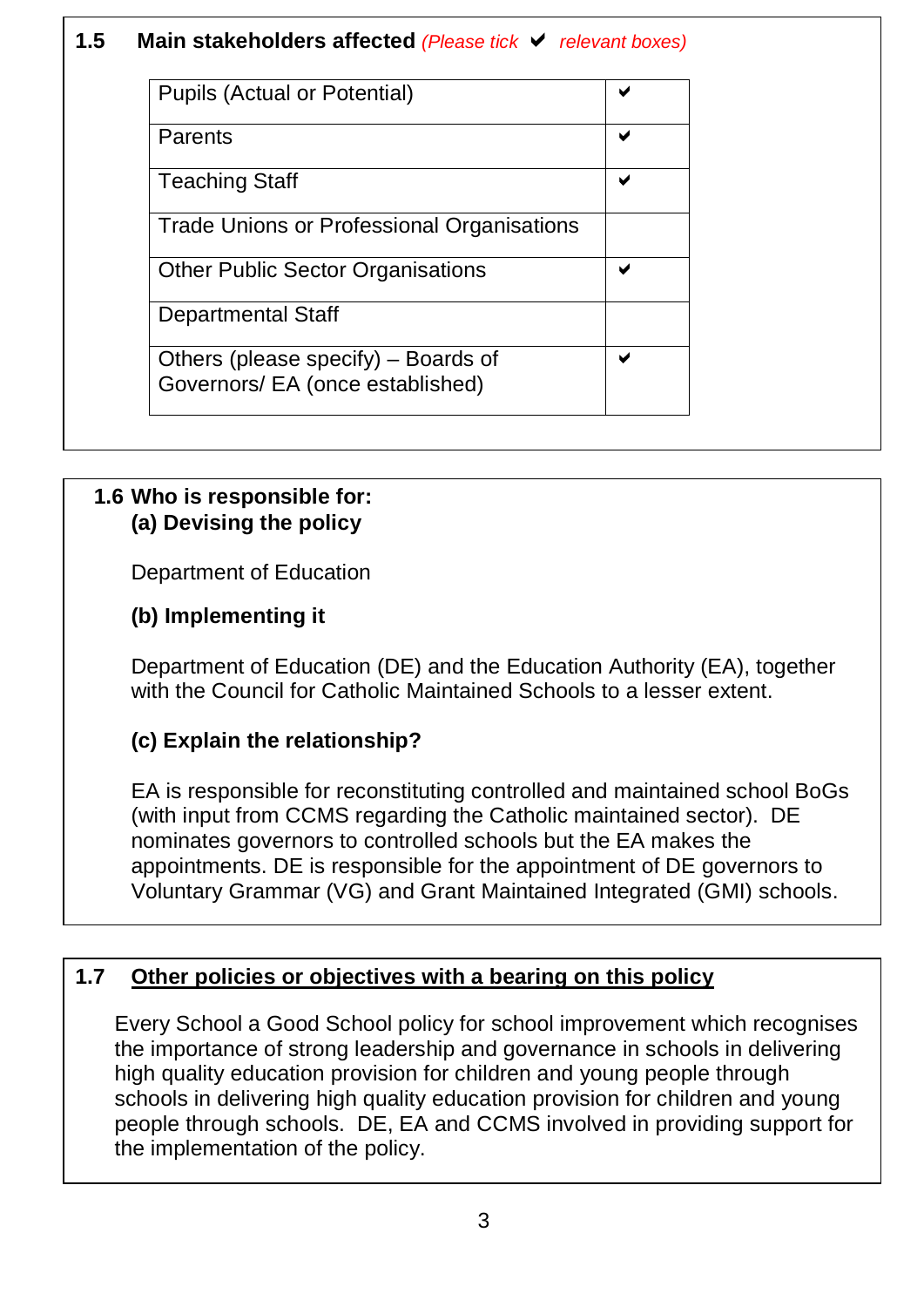### **1.5 Main stakeholders affected** *(Please tick relevant boxes)*

| <b>Pupils (Actual or Potential)</b>                                     |  |
|-------------------------------------------------------------------------|--|
| Parents                                                                 |  |
| <b>Teaching Staff</b>                                                   |  |
| Trade Unions or Professional Organisations                              |  |
| <b>Other Public Sector Organisations</b>                                |  |
| <b>Departmental Staff</b>                                               |  |
| Others (please specify) – Boards of<br>Governors/ EA (once established) |  |

#### **1.6 Who is responsible for: (a) Devising the policy**

Department of Education

### **(b) Implementing it**

Department of Education (DE) and the Education Authority (EA), together with the Council for Catholic Maintained Schools to a lesser extent.

### **(c) Explain the relationship?**

EA is responsible for reconstituting controlled and maintained school BoGs (with input from CCMS regarding the Catholic maintained sector). DE nominates governors to controlled schools but the EA makes the appointments. DE is responsible for the appointment of DE governors to Voluntary Grammar (VG) and Grant Maintained Integrated (GMI) schools.

### **1.7 Other policies or objectives with a bearing on this policy**

Every School a Good School policy for school improvement which recognises the importance of strong leadership and governance in schools in delivering high quality education provision for children and young people through schools in delivering high quality education provision for children and young people through schools. DE, EA and CCMS involved in providing support for the implementation of the policy.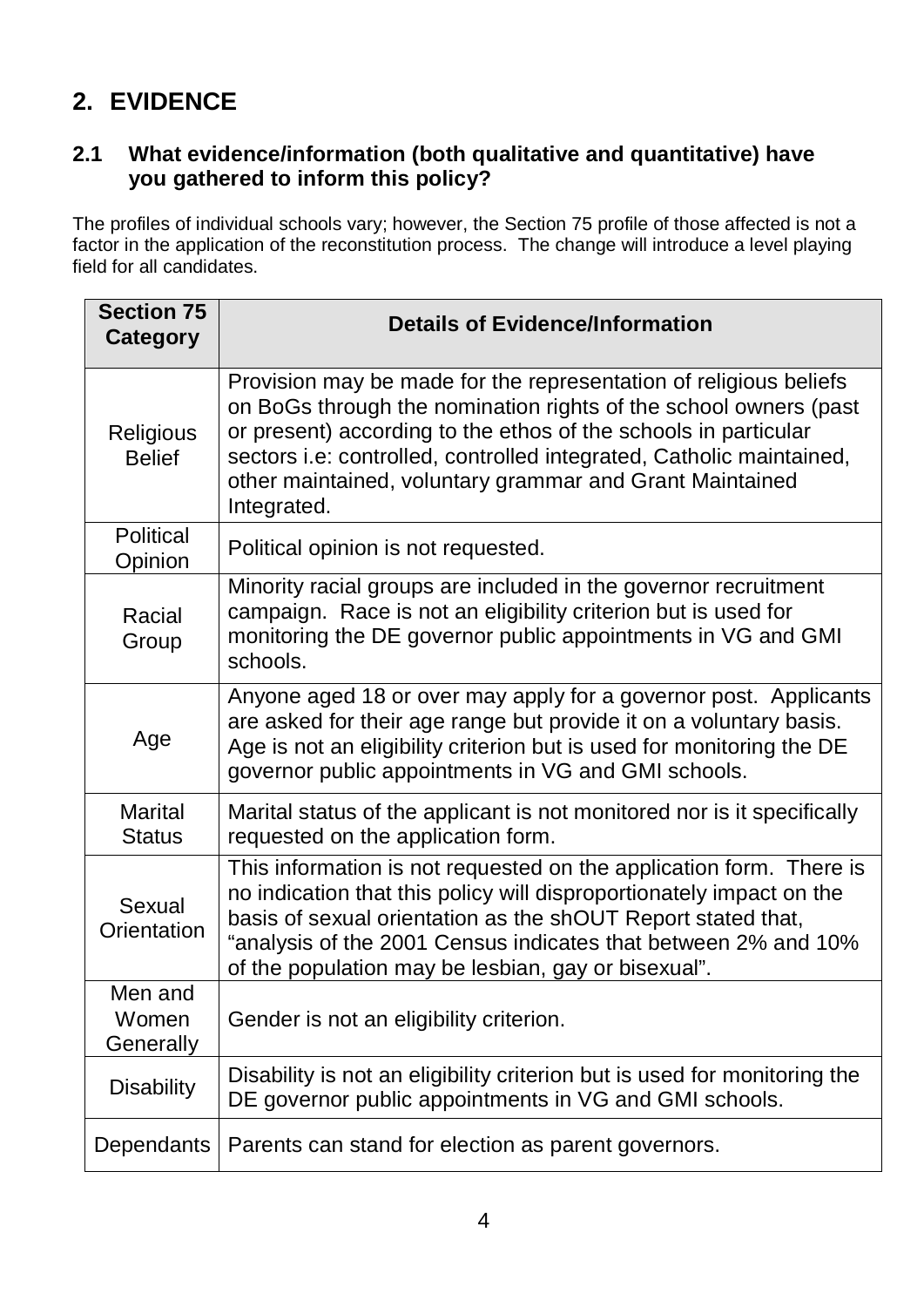# **2. EVIDENCE**

#### **2.1 What evidence/information (both qualitative and quantitative) have you gathered to inform this policy?**

The profiles of individual schools vary; however, the Section 75 profile of those affected is not a factor in the application of the reconstitution process. The change will introduce a level playing field for all candidates.

| <b>Section 75</b><br>Category   | <b>Details of Evidence/Information</b>                                                                                                                                                                                                                                                                                                                      |
|---------------------------------|-------------------------------------------------------------------------------------------------------------------------------------------------------------------------------------------------------------------------------------------------------------------------------------------------------------------------------------------------------------|
| Religious<br><b>Belief</b>      | Provision may be made for the representation of religious beliefs<br>on BoGs through the nomination rights of the school owners (past<br>or present) according to the ethos of the schools in particular<br>sectors i.e: controlled, controlled integrated, Catholic maintained,<br>other maintained, voluntary grammar and Grant Maintained<br>Integrated. |
| <b>Political</b><br>Opinion     | Political opinion is not requested.                                                                                                                                                                                                                                                                                                                         |
| Racial<br>Group                 | Minority racial groups are included in the governor recruitment<br>campaign. Race is not an eligibility criterion but is used for<br>monitoring the DE governor public appointments in VG and GMI<br>schools.                                                                                                                                               |
| Age                             | Anyone aged 18 or over may apply for a governor post. Applicants<br>are asked for their age range but provide it on a voluntary basis.<br>Age is not an eligibility criterion but is used for monitoring the DE<br>governor public appointments in VG and GMI schools.                                                                                      |
| <b>Marital</b><br><b>Status</b> | Marital status of the applicant is not monitored nor is it specifically<br>requested on the application form.                                                                                                                                                                                                                                               |
| Sexual<br>Orientation           | This information is not requested on the application form. There is<br>no indication that this policy will disproportionately impact on the<br>basis of sexual orientation as the shOUT Report stated that,<br>"analysis of the 2001 Census indicates that between 2% and 10%<br>of the population may be lesbian, gay or bisexual".                        |
| Men and<br>Women<br>Generally   | Gender is not an eligibility criterion.                                                                                                                                                                                                                                                                                                                     |
| <b>Disability</b>               | Disability is not an eligibility criterion but is used for monitoring the<br>DE governor public appointments in VG and GMI schools.                                                                                                                                                                                                                         |
| Dependants                      | Parents can stand for election as parent governors.                                                                                                                                                                                                                                                                                                         |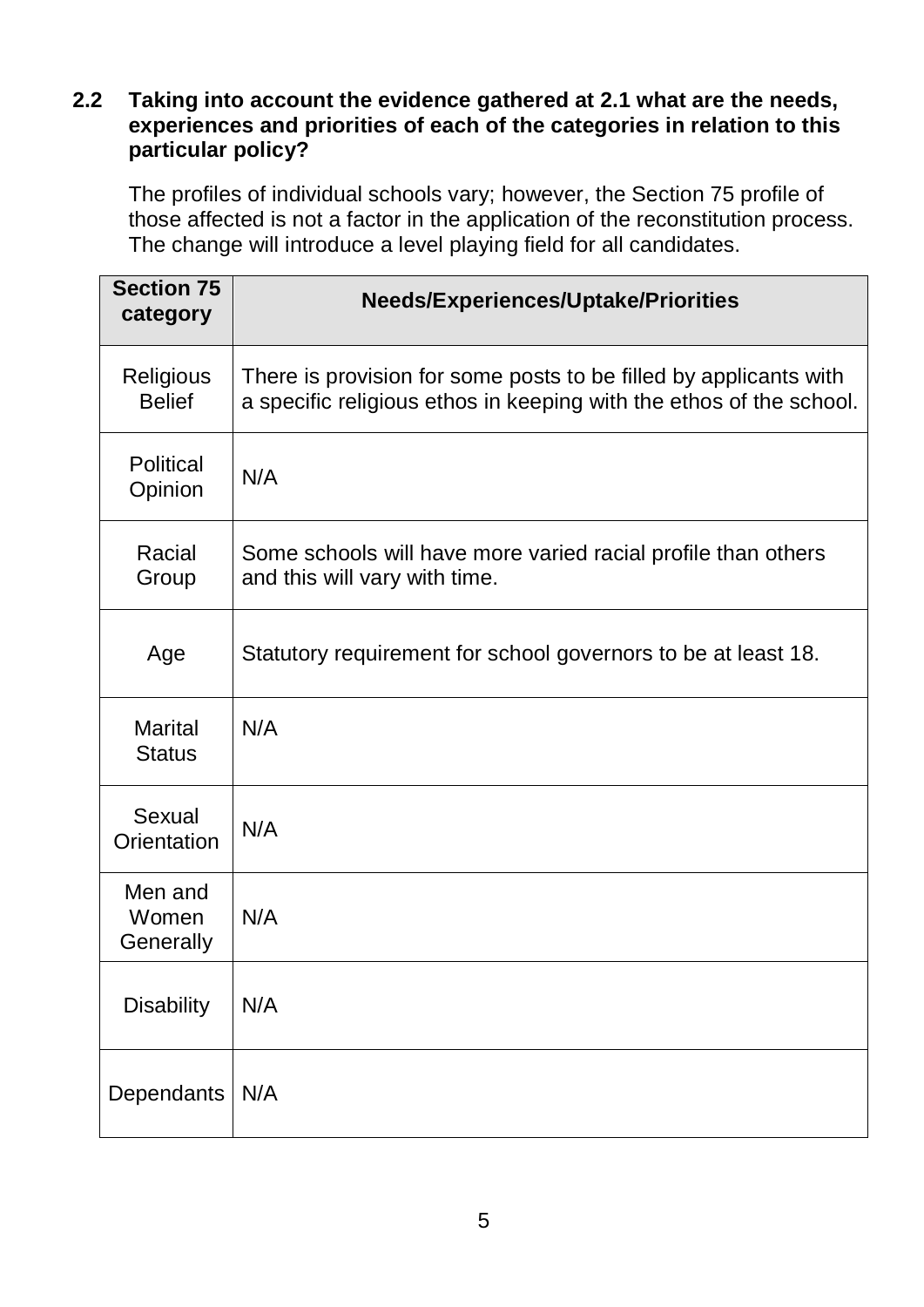#### **2.2 Taking into account the evidence gathered at 2.1 what are the needs, experiences and priorities of each of the categories in relation to this particular policy?**

The profiles of individual schools vary; however, the Section 75 profile of those affected is not a factor in the application of the reconstitution process. The change will introduce a level playing field for all candidates.

| <b>Section 75</b><br>category     | <b>Needs/Experiences/Uptake/Priorities</b>                                                                                               |
|-----------------------------------|------------------------------------------------------------------------------------------------------------------------------------------|
| <b>Religious</b><br><b>Belief</b> | There is provision for some posts to be filled by applicants with<br>a specific religious ethos in keeping with the ethos of the school. |
| <b>Political</b><br>Opinion       | N/A                                                                                                                                      |
| Racial<br>Group                   | Some schools will have more varied racial profile than others<br>and this will vary with time.                                           |
| Age                               | Statutory requirement for school governors to be at least 18.                                                                            |
| Marital<br><b>Status</b>          | N/A                                                                                                                                      |
| Sexual<br>Orientation             | N/A                                                                                                                                      |
| Men and<br>Women<br>Generally     | N/A                                                                                                                                      |
| <b>Disability</b>                 | N/A                                                                                                                                      |
| Dependants                        | N/A                                                                                                                                      |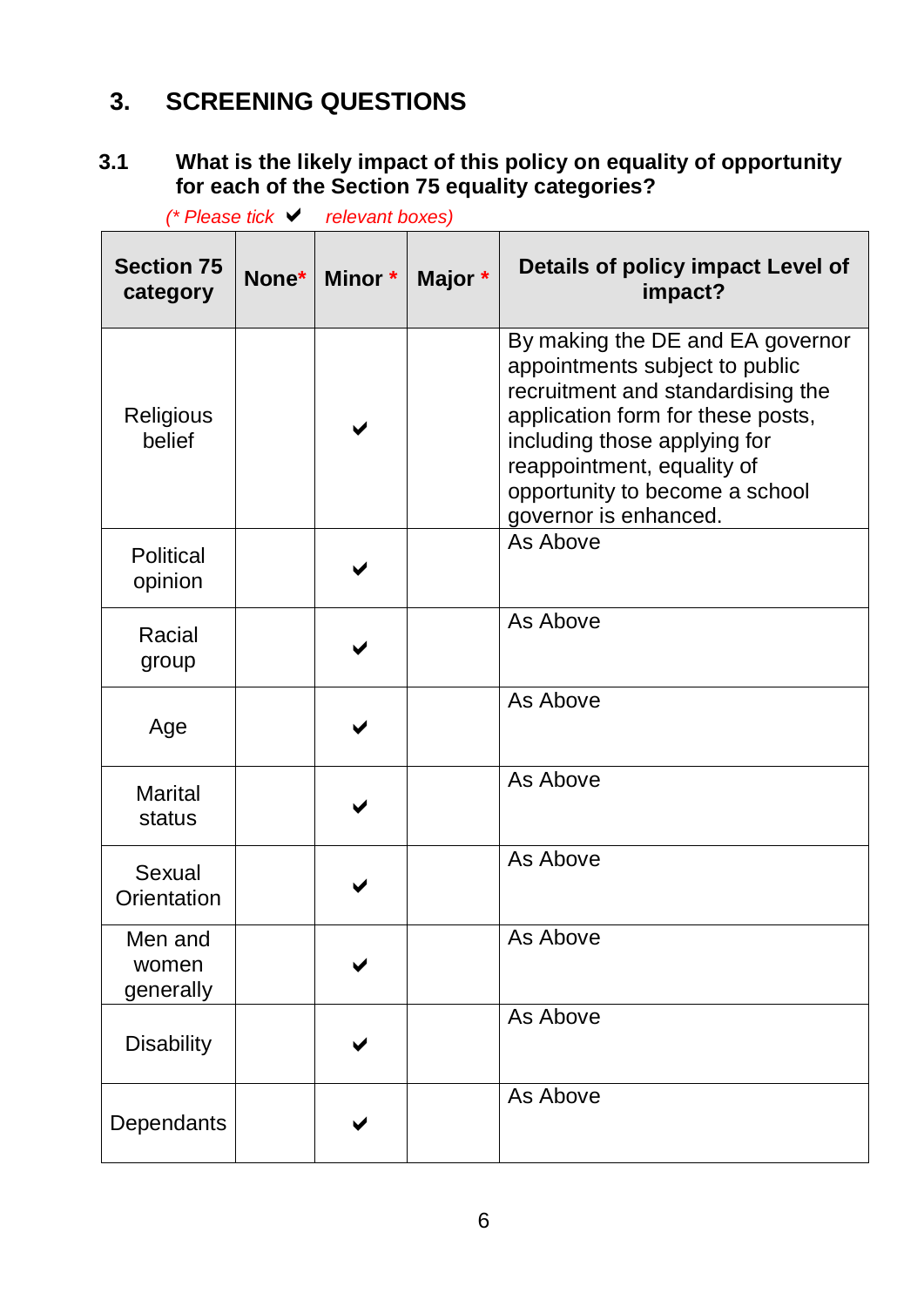## **3. SCREENING QUESTIONS**

### **3.1 What is the likely impact of this policy on equality of opportunity for each of the Section 75 equality categories?**

|                               | (* Please tick ∨ | relevant boxes) |         |                                                                                                                                                                                                                                                                       |
|-------------------------------|------------------|-----------------|---------|-----------------------------------------------------------------------------------------------------------------------------------------------------------------------------------------------------------------------------------------------------------------------|
| <b>Section 75</b><br>category | None*            | Minor *         | Major * | Details of policy impact Level of<br>impact?                                                                                                                                                                                                                          |
| Religious<br>belief           |                  |                 |         | By making the DE and EA governor<br>appointments subject to public<br>recruitment and standardising the<br>application form for these posts,<br>including those applying for<br>reappointment, equality of<br>opportunity to become a school<br>governor is enhanced. |
| <b>Political</b><br>opinion   |                  |                 |         | As Above                                                                                                                                                                                                                                                              |
| Racial<br>group               |                  |                 |         | As Above                                                                                                                                                                                                                                                              |
| Age                           |                  |                 |         | As Above                                                                                                                                                                                                                                                              |
| <b>Marital</b><br>status      |                  |                 |         | As Above                                                                                                                                                                                                                                                              |
| Sexual<br>Orientation         |                  |                 |         | As Above                                                                                                                                                                                                                                                              |
| Men and<br>women<br>generally |                  |                 |         | As Above                                                                                                                                                                                                                                                              |
| <b>Disability</b>             |                  |                 |         | As Above                                                                                                                                                                                                                                                              |
| Dependants                    |                  |                 |         | As Above                                                                                                                                                                                                                                                              |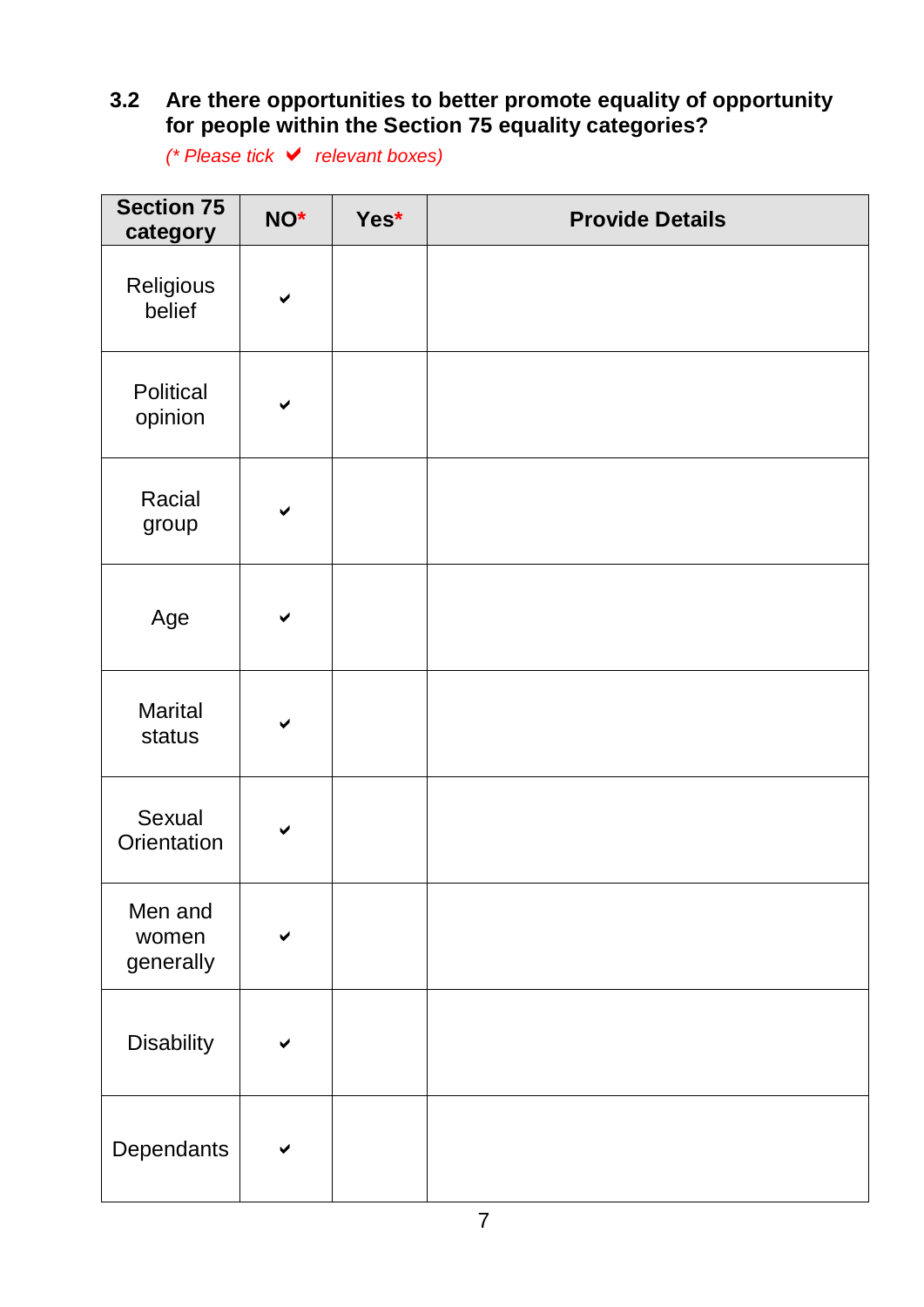#### **3.2 Are there opportunities to better promote equality of opportunity for people within the Section 75 equality categories?**

*(\* Please tick relevant boxes)*

| <b>Section 75</b><br>category | NO*          | Yes* | <b>Provide Details</b> |
|-------------------------------|--------------|------|------------------------|
| Religious<br>belief           | $\checkmark$ |      |                        |
| Political<br>opinion          | $\checkmark$ |      |                        |
| Racial<br>group               | ✔            |      |                        |
| Age                           | ✔            |      |                        |
| <b>Marital</b><br>status      | $\checkmark$ |      |                        |
| Sexual<br>Orientation         | ✔            |      |                        |
| Men and<br>women<br>generally | ✔            |      |                        |
| Disability                    |              |      |                        |
| Dependants                    |              |      |                        |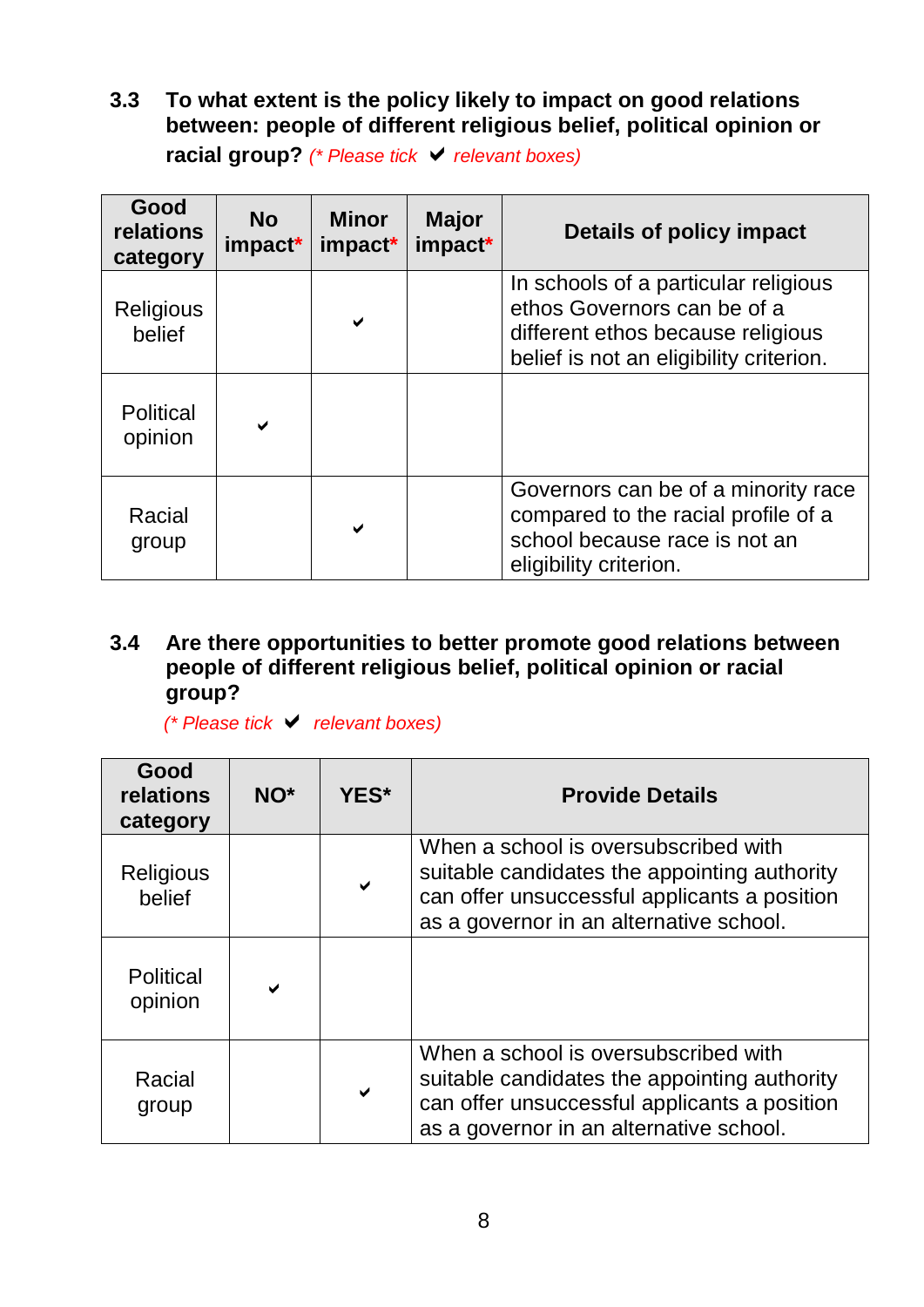**3.3 To what extent is the policy likely to impact on good relations between: people of different religious belief, political opinion or racial group?** *(\* Please tick relevant boxes)*

| Good<br>relations<br>category | <b>No</b><br>impact* | <b>Minor</b><br>impact* | <b>Major</b><br>impact* | Details of policy impact                                                                                                                            |
|-------------------------------|----------------------|-------------------------|-------------------------|-----------------------------------------------------------------------------------------------------------------------------------------------------|
| <b>Religious</b><br>belief    |                      | $\blacktriangleright$   |                         | In schools of a particular religious<br>ethos Governors can be of a<br>different ethos because religious<br>belief is not an eligibility criterion. |
| <b>Political</b><br>opinion   |                      |                         |                         |                                                                                                                                                     |
| Racial<br>group               |                      | $\checkmark$            |                         | Governors can be of a minority race<br>compared to the racial profile of a<br>school because race is not an<br>eligibility criterion.               |

#### **3.4 Are there opportunities to better promote good relations between people of different religious belief, political opinion or racial group?**

*(\* Please tick relevant boxes)*

| Good<br>relations<br>category | NO <sup>*</sup> | YES* | <b>Provide Details</b>                                                                                                                                                          |
|-------------------------------|-----------------|------|---------------------------------------------------------------------------------------------------------------------------------------------------------------------------------|
| <b>Religious</b><br>belief    |                 |      | When a school is oversubscribed with<br>suitable candidates the appointing authority<br>can offer unsuccessful applicants a position<br>as a governor in an alternative school. |
| <b>Political</b><br>opinion   | $\checkmark$    |      |                                                                                                                                                                                 |
| Racial<br>group               |                 | ✔    | When a school is oversubscribed with<br>suitable candidates the appointing authority<br>can offer unsuccessful applicants a position<br>as a governor in an alternative school. |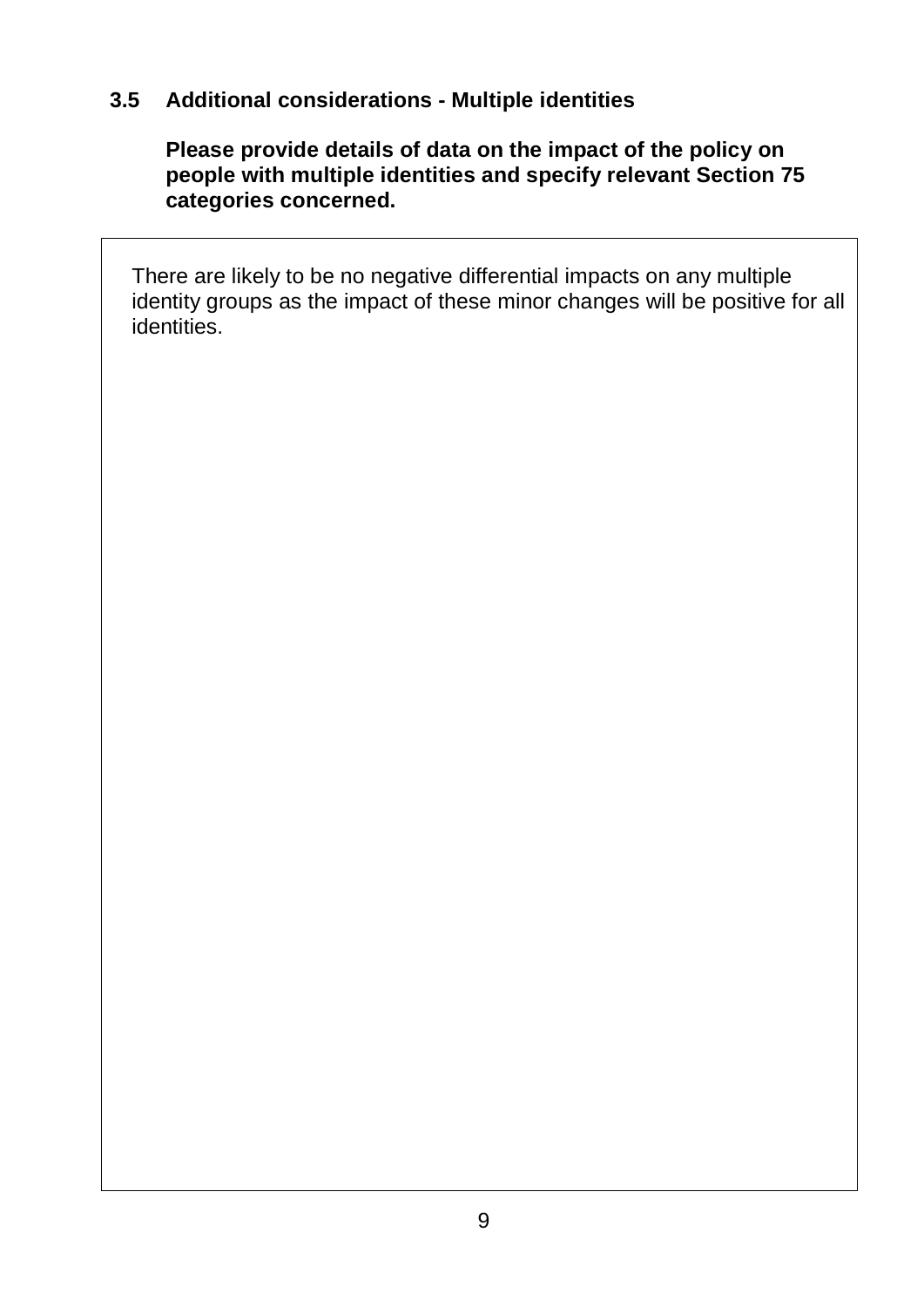### **3.5 Additional considerations - Multiple identities**

**Please provide details of data on the impact of the policy on people with multiple identities and specify relevant Section 75 categories concerned.**

There are likely to be no negative differential impacts on any multiple identity groups as the impact of these minor changes will be positive for all identities.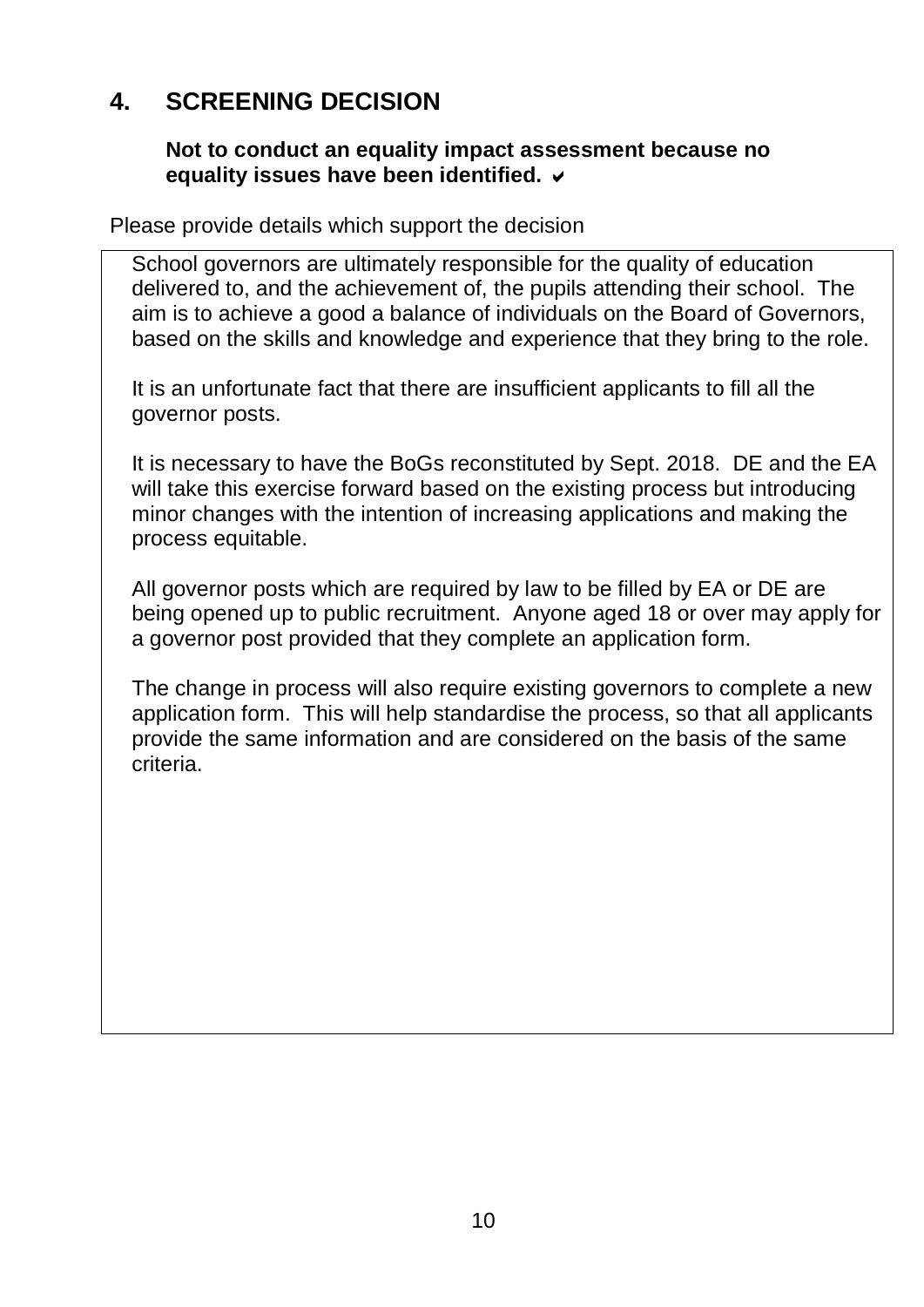## **4. SCREENING DECISION**

#### **Not to conduct an equality impact assessment because no equality issues have been identified.**

Please provide details which support the decision

School governors are ultimately responsible for the quality of education delivered to, and the achievement of, the pupils attending their school. The aim is to achieve a good a balance of individuals on the Board of Governors, based on the skills and knowledge and experience that they bring to the role.

It is an unfortunate fact that there are insufficient applicants to fill all the governor posts.

It is necessary to have the BoGs reconstituted by Sept. 2018. DE and the EA will take this exercise forward based on the existing process but introducing minor changes with the intention of increasing applications and making the process equitable.

All governor posts which are required by law to be filled by EA or DE are being opened up to public recruitment. Anyone aged 18 or over may apply for a governor post provided that they complete an application form.

The change in process will also require existing governors to complete a new application form. This will help standardise the process, so that all applicants provide the same information and are considered on the basis of the same criteria.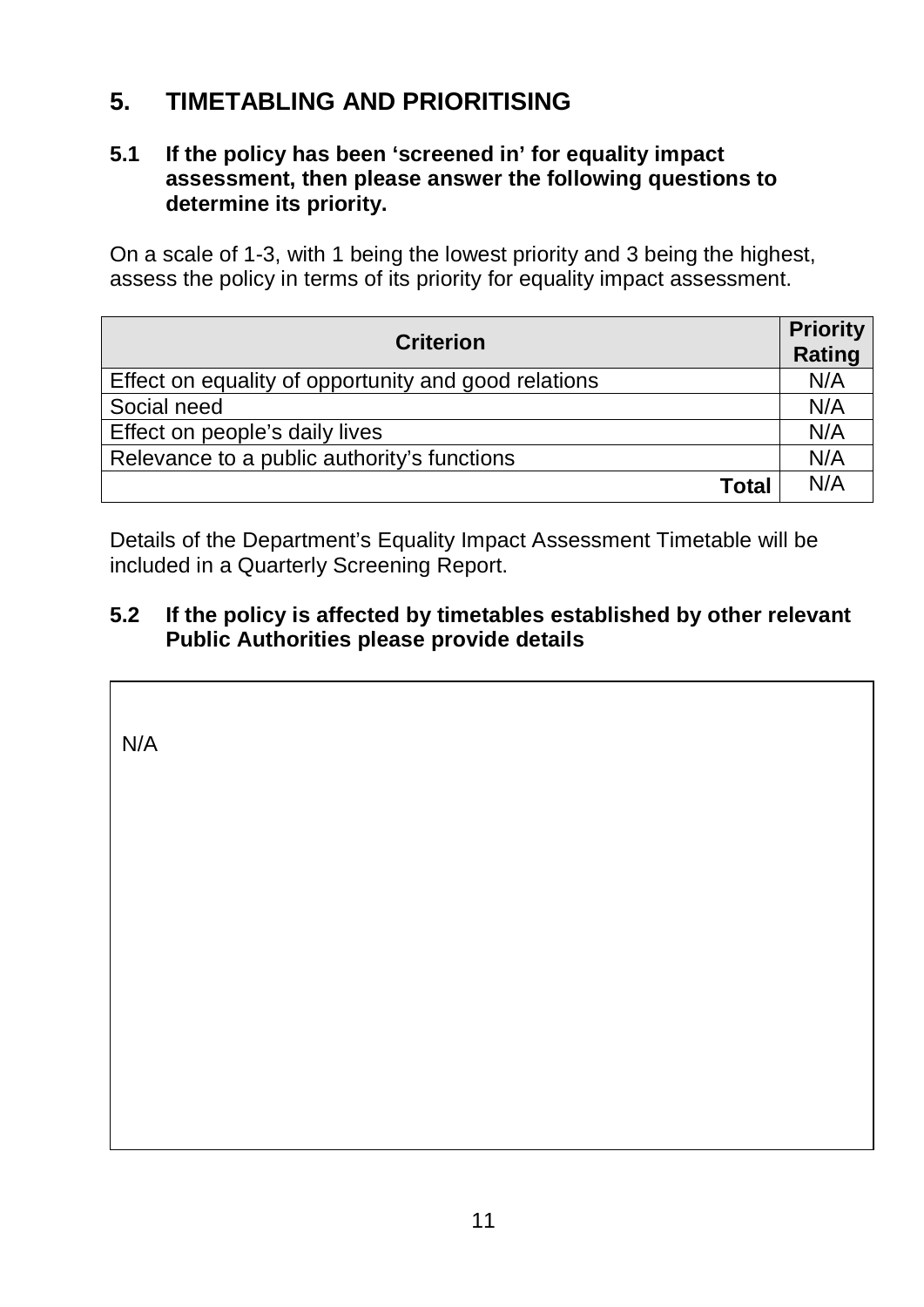## **5. TIMETABLING AND PRIORITISING**

#### **5.1 If the policy has been 'screened in' for equality impact assessment, then please answer the following questions to determine its priority.**

On a scale of 1-3, with 1 being the lowest priority and 3 being the highest, assess the policy in terms of its priority for equality impact assessment.

| <b>Criterion</b>                                     | <b>Priority</b><br><b>Rating</b> |
|------------------------------------------------------|----------------------------------|
| Effect on equality of opportunity and good relations | N/A                              |
| Social need                                          | N/A                              |
| Effect on people's daily lives                       | N/A                              |
| Relevance to a public authority's functions          | N/A                              |
| <b>Total</b>                                         | N/A                              |

Details of the Department's Equality Impact Assessment Timetable will be included in a Quarterly Screening Report.

Commission'nnnnalternative policy introduced, the public authority should monitor more broadly than for adverse impact (See Benefits, P.9-10, paras

You should consider the guidance contained in the Equality

2.13 – 2.20 of the Monitoring Guidance).

#### **5.2 If the policy is affected by timetables established by other relevant Public Authorities please provide details**

 $\left| \right|$   $\mathbb{R}$   $\left| \right|$ N/A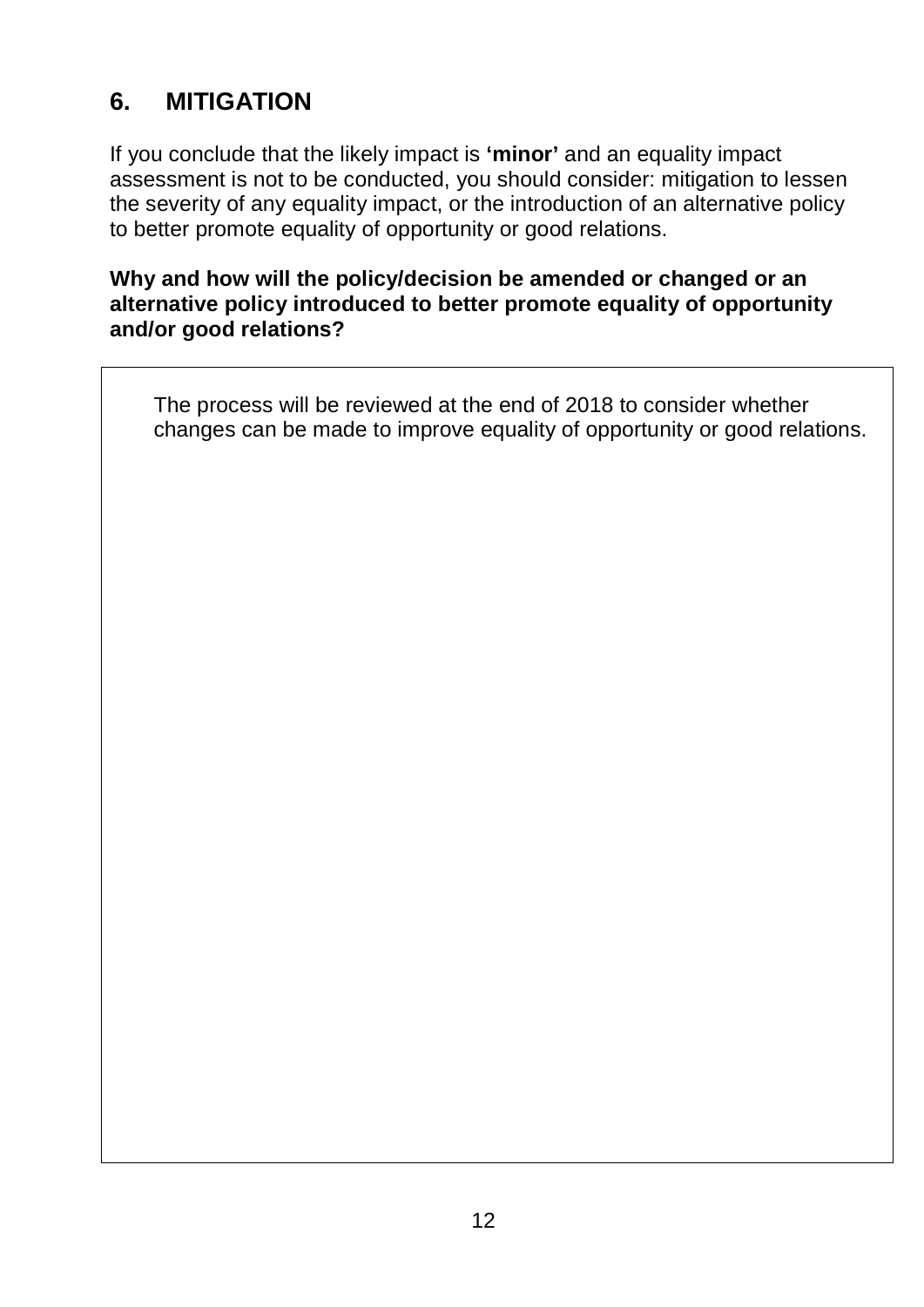## **6. MITIGATION**

If you conclude that the likely impact is **'minor'** and an equality impact assessment is not to be conducted, you should consider: mitigation to lessen the severity of any equality impact, or the introduction of an alternative policy to better promote equality of opportunity or good relations.

#### **Why and how will the policy/decision be amended or changed or an alternative policy introduced to better promote equality of opportunity and/or good relations?**

The process will be reviewed at the end of 2018 to consider whether changes can be made to improve equality of opportunity or good relations.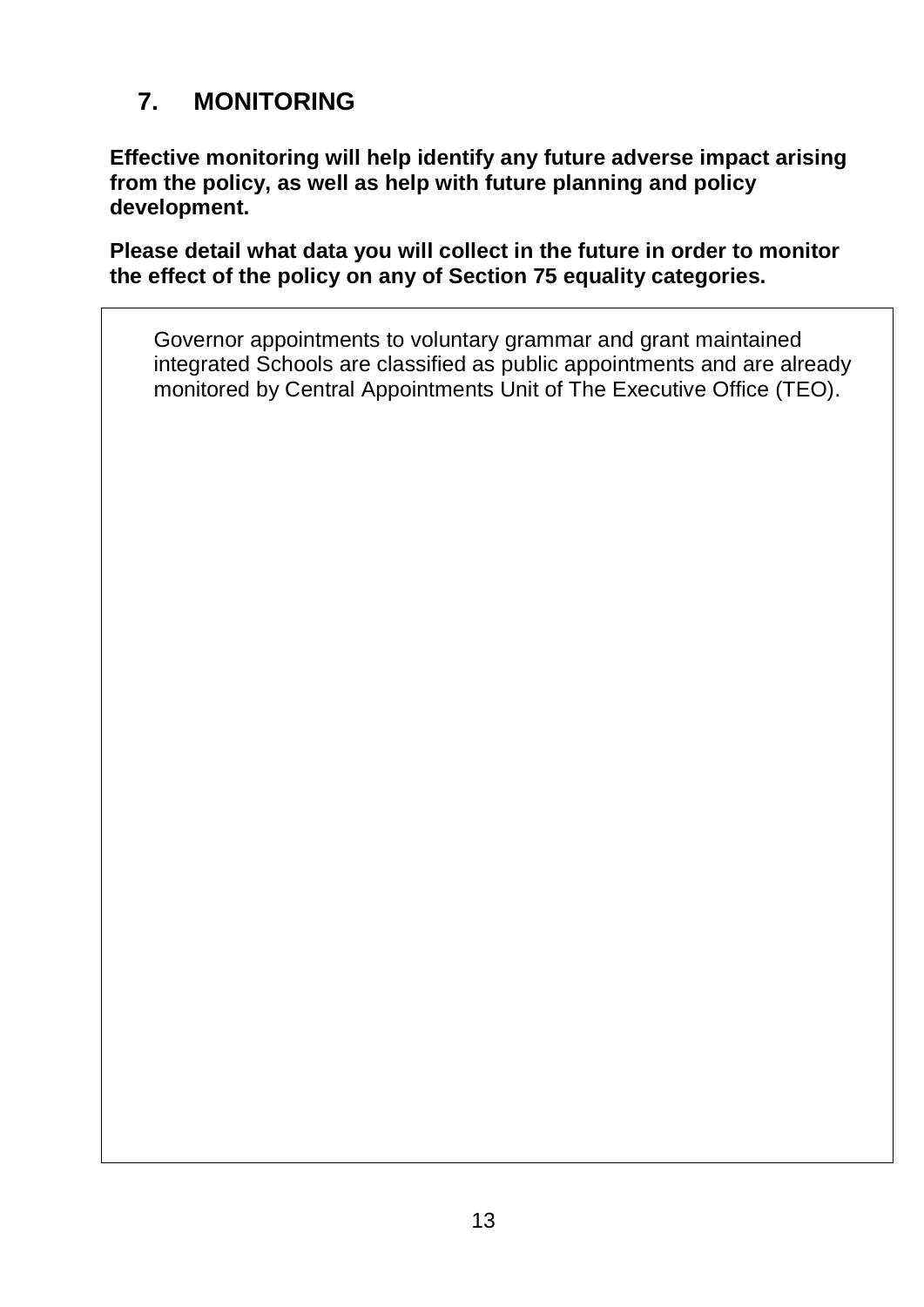# **7. MONITORING**

**Effective monitoring will help identify any future adverse impact arising from the policy, as well as help with future planning and policy development.**

**Please detail what data you will collect in the future in order to monitor the effect of the policy on any of Section 75 equality categories.**

Governor appointments to voluntary grammar and grant maintained integrated Schools are classified as public appointments and are already monitored by Central Appointments Unit of The Executive Office (TEO).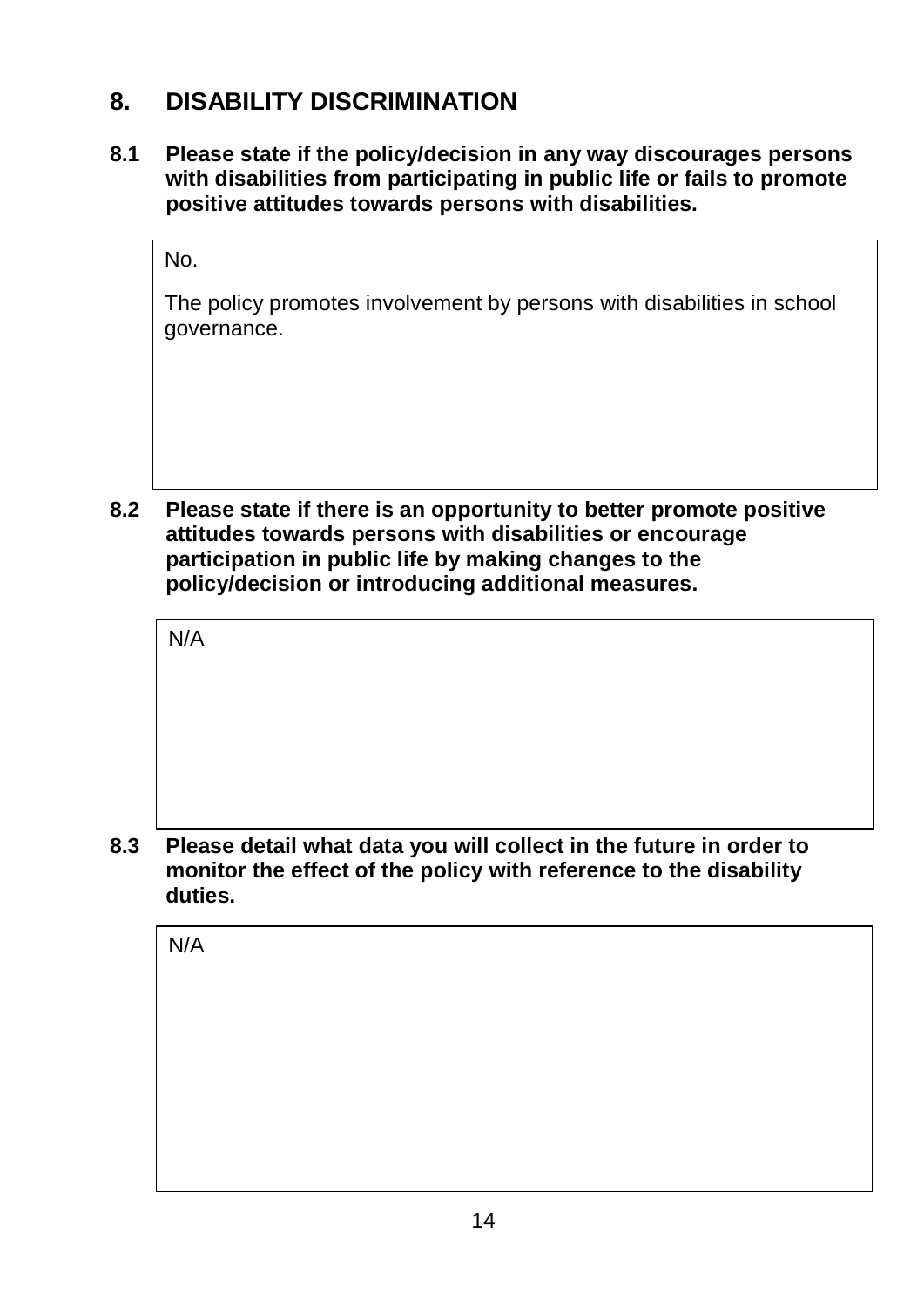## **8. DISABILITY DISCRIMINATION**

**8.1 Please state if the policy/decision in any way discourages persons with disabilities from participating in public life or fails to promote positive attitudes towards persons with disabilities.**

No.

The policy promotes involvement by persons with disabilities in school governance.

**8.2 Please state if there is an opportunity to better promote positive attitudes towards persons with disabilities or encourage participation in public life by making changes to the policy/decision or introducing additional measures.**

N/A

**8.3 Please detail what data you will collect in the future in order to monitor the effect of the policy with reference to the disability duties.**

N/A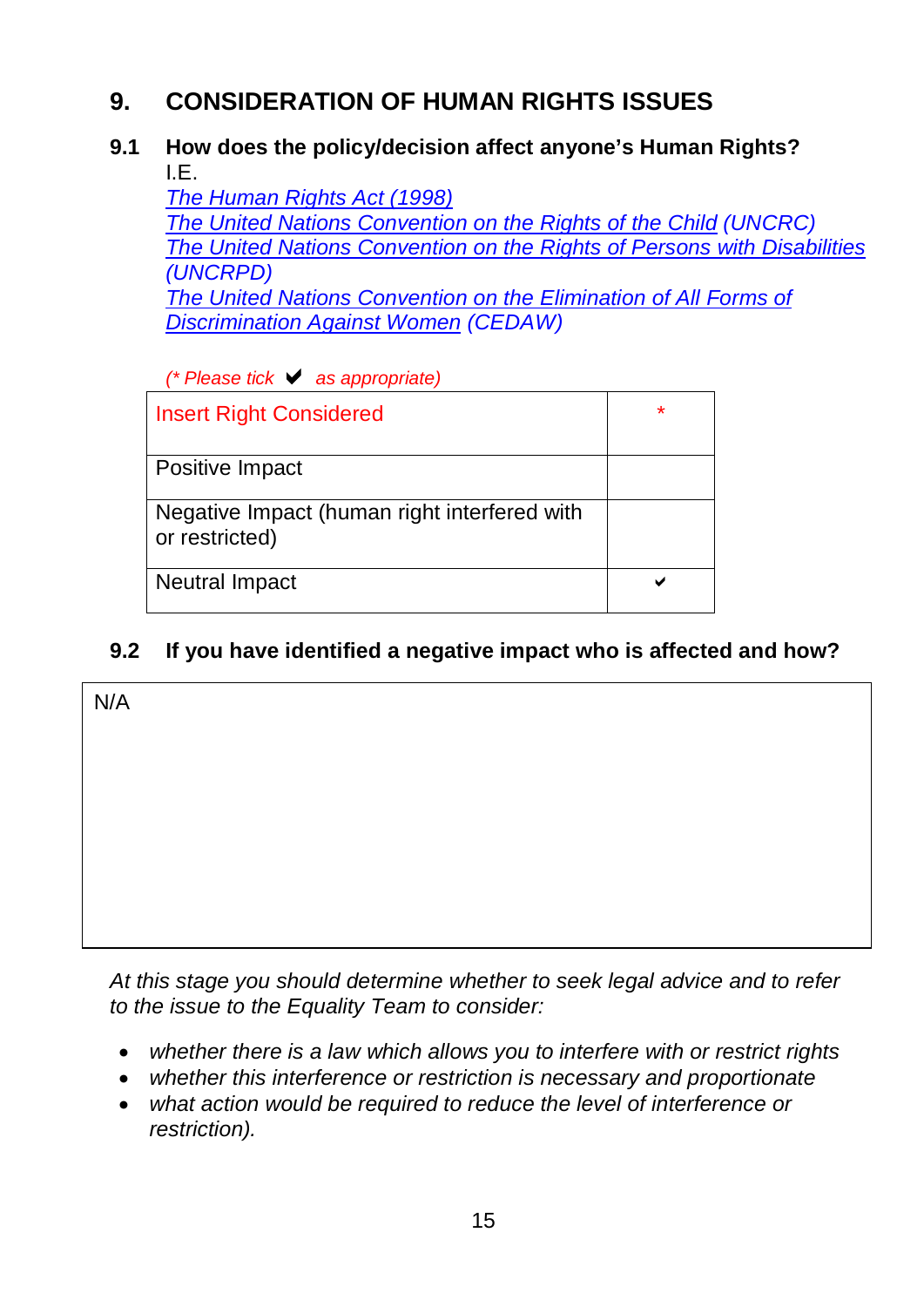## **9. CONSIDERATION OF HUMAN RIGHTS ISSUES**

#### **9.1 How does the policy/decision affect anyone's Human Rights?** I.E.

*The Human [Rights Act \(1998\)](http://www.opsi.gov.uk/acts/acts1998/ukpga_19980042_en_1) [The United Nations Convention on the Rights of the Child](http://www.unicef.org/crc/index_understanding.html) (UNCRC) The [United Nations Convention on the Rights of Persons with](http://www.un.org/disabilities/convention/conventionfull.shtml) Disabilities (UNCRPD) [The United Nations Convention on the Elimination of All Forms of](http://www.un.org/womenwatch/daw/cedaw/text/econvention.htm#intro)  [Discrimination Against Women](http://www.un.org/womenwatch/daw/cedaw/text/econvention.htm#intro) (CEDAW)*

*(\* Please tick as appropriate)*

| <b>Insert Right Considered</b>                                 | $\star$ |
|----------------------------------------------------------------|---------|
| Positive Impact                                                |         |
| Negative Impact (human right interfered with<br>or restricted) |         |
| <b>Neutral Impact</b>                                          |         |

### **9.2 If you have identified a negative impact who is affected and how?**

| N/A |  |  |
|-----|--|--|
|     |  |  |
|     |  |  |
|     |  |  |
|     |  |  |
|     |  |  |
|     |  |  |

*At this stage you should determine whether to seek legal advice and to refer to the issue to the Equality Team to consider:*

- *whether there is a law which allows you to interfere with or restrict rights*
- *whether this interference or restriction is necessary and proportionate*
- *what action would be required to reduce the level of interference or restriction).*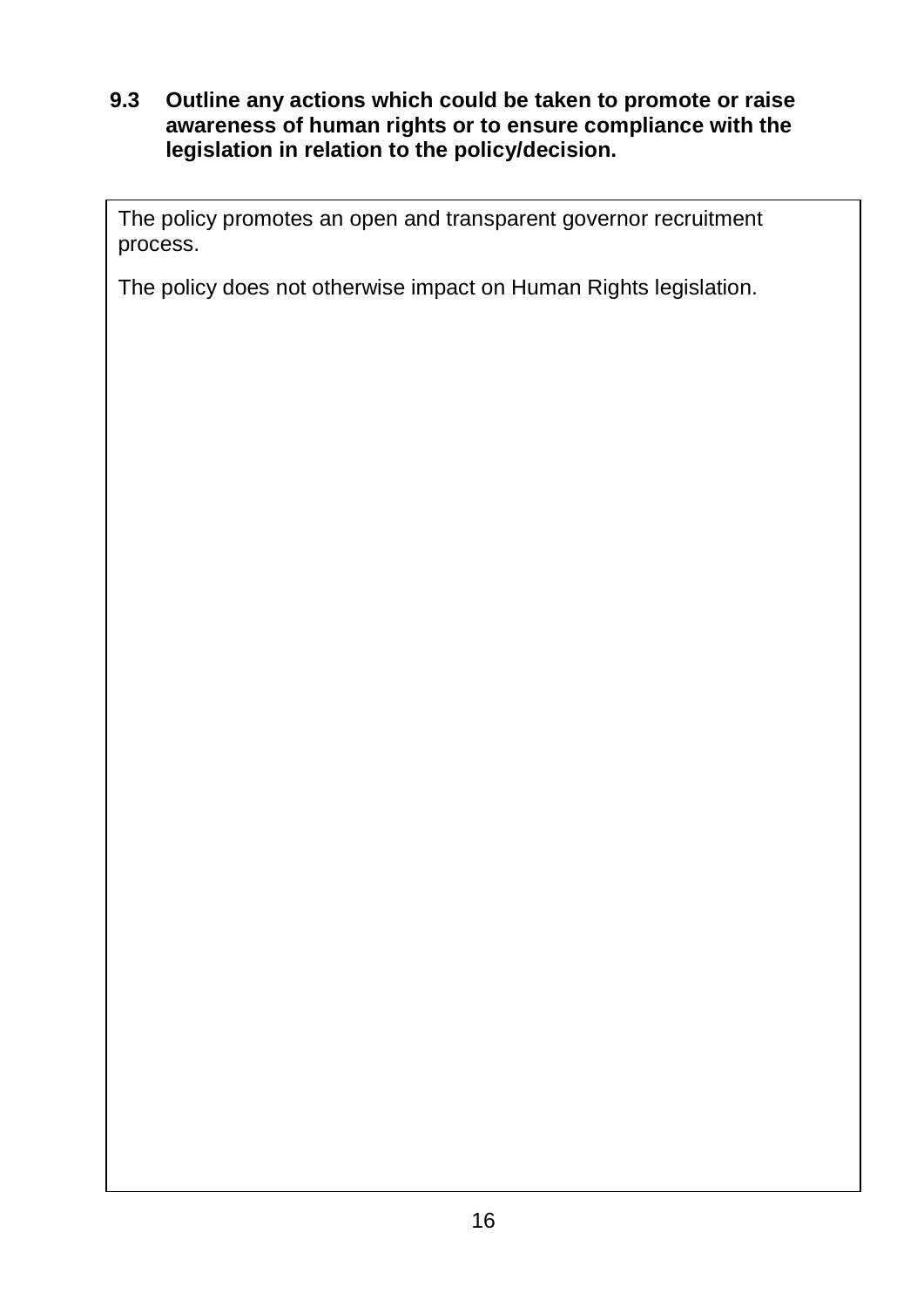#### **9.3 Outline any actions which could be taken to promote or raise awareness of human rights or to ensure compliance with the legislation in relation to the policy/decision.**

The policy promotes an open and transparent governor recruitment process.

The policy does not otherwise impact on Human Rights legislation.